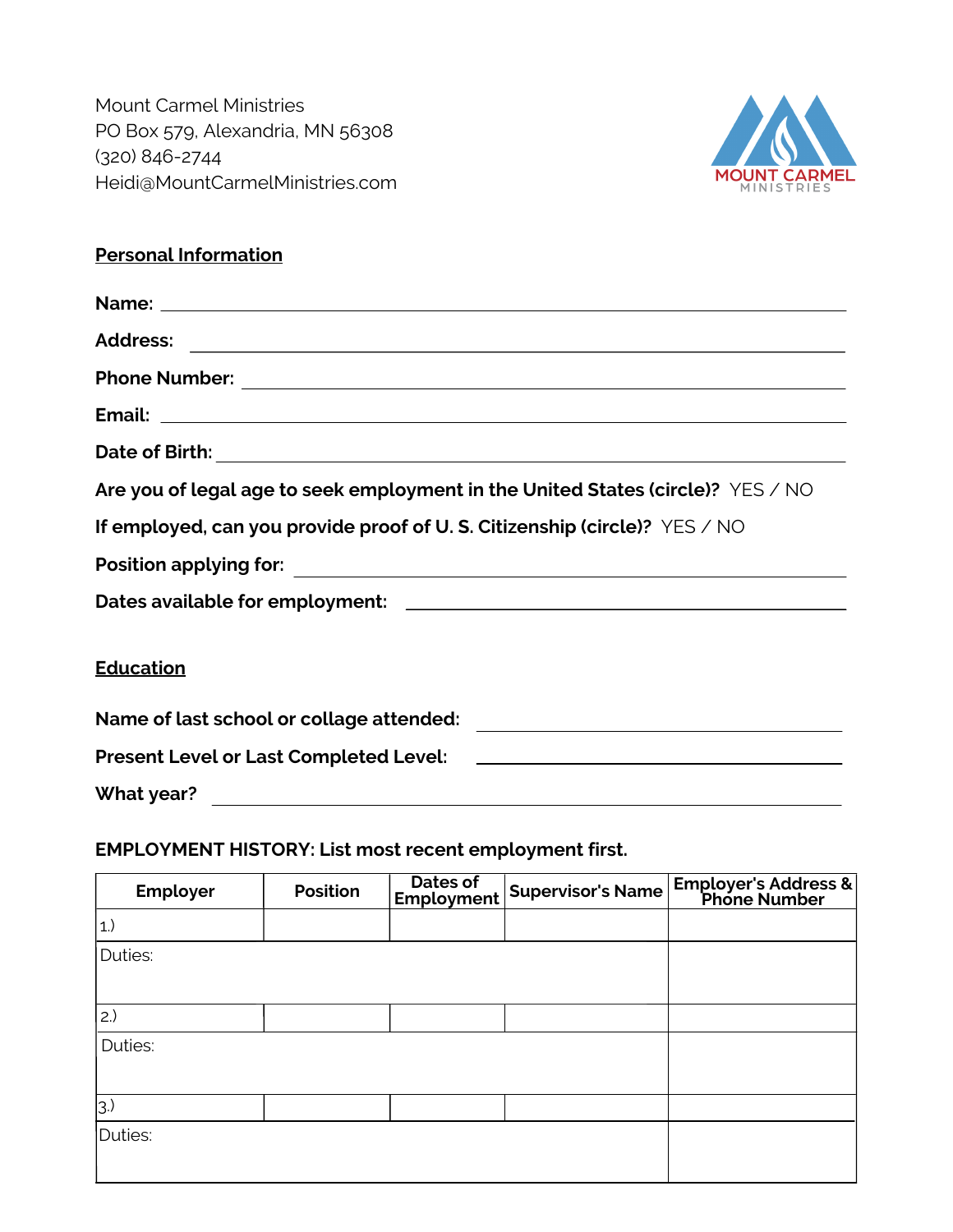Mount Carmel Ministries PO Box 579, Alexandria, MN 56308 (320) 846-2744 Heidi@MountCarmelMinistries.com



## **Personal Information**

| Date of Birth: <u>2000 and 2000 and 2000 and 2000 and 2000 and 2000 and 2000 and 2000 and 2000 and 2000 and 2000 and 2000 and 2000 and 2000 and 2000 and 2000 and 2000 and 2000 and 2000 and 2000 and 2000 and 2000 and 2000 and</u> |  |
|--------------------------------------------------------------------------------------------------------------------------------------------------------------------------------------------------------------------------------------|--|
| Are you of legal age to seek employment in the United States (circle)? YES / NO                                                                                                                                                      |  |
| If employed, can you provide proof of U.S. Citizenship (circle)? YES / NO                                                                                                                                                            |  |
|                                                                                                                                                                                                                                      |  |
|                                                                                                                                                                                                                                      |  |
| <b>Education</b>                                                                                                                                                                                                                     |  |
|                                                                                                                                                                                                                                      |  |
|                                                                                                                                                                                                                                      |  |
| What year?                                                                                                                                                                                                                           |  |

# **EMPLOYMENT HISTORY: List most recent employment first.**

| Employer    | <b>Position</b> | Dates of<br>Employment | <b>Supervisor's Name</b> | Employer's Address & |
|-------------|-----------------|------------------------|--------------------------|----------------------|
| $ 1\rangle$ |                 |                        |                          |                      |
| Duties:     |                 |                        |                          |                      |
|             |                 |                        |                          |                      |
| 2.)         |                 |                        |                          |                      |
| Duties:     |                 |                        |                          |                      |
|             |                 |                        |                          |                      |
| 3.          |                 |                        |                          |                      |
| Duties:     |                 |                        |                          |                      |
|             |                 |                        |                          |                      |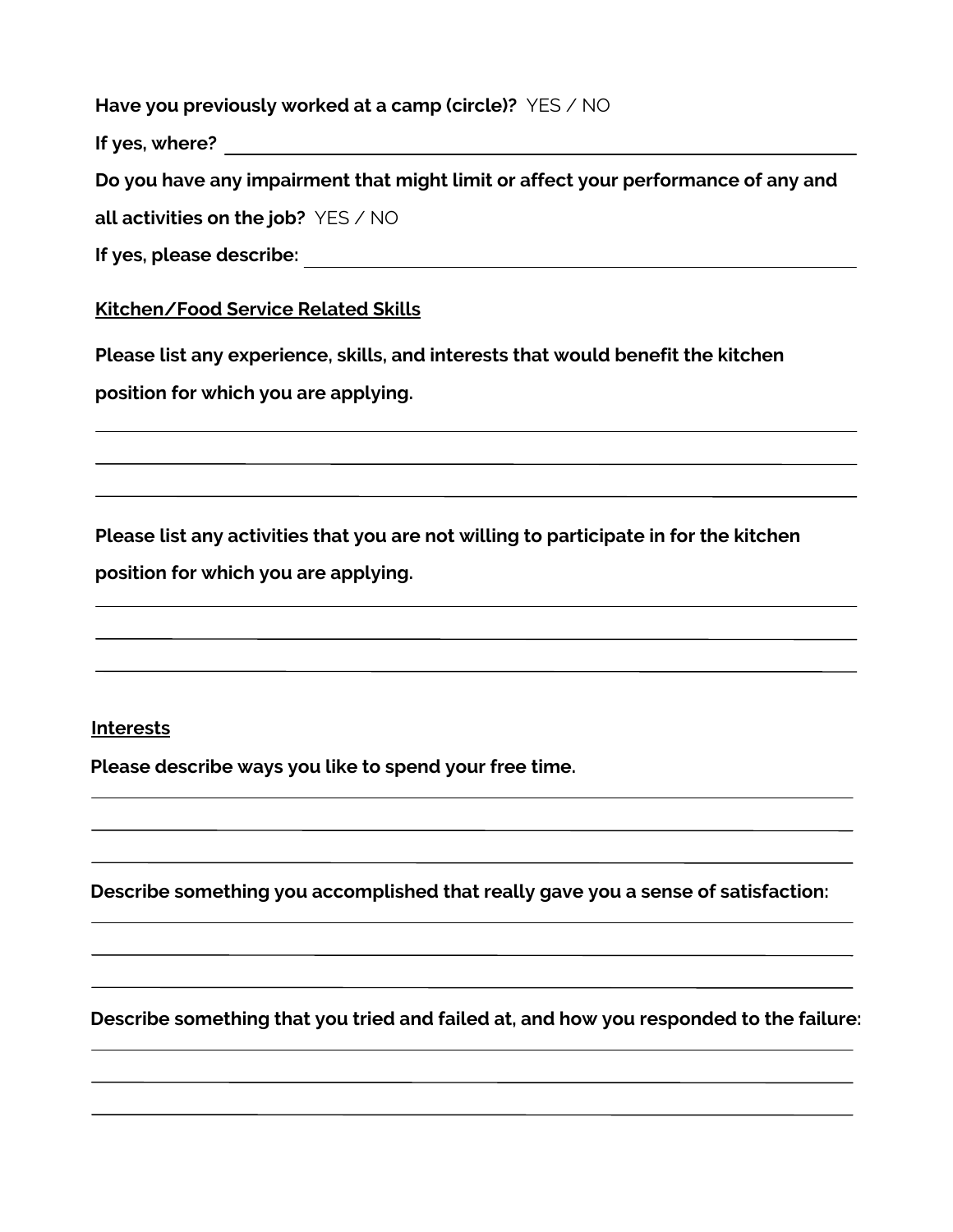**Have you previously worked at a camp (circle)?** YES / NO

**If yes, where?**

**Do you have any impairment that might limit or affect your performance of any and**

**all activities on the job?** YES / NO

### **Kitchen/Food Service Related Skills**

**Please list any experience, skills, and interests that would benefit the kitchen position for which you are applying.**

**Please list any activities that you are not willing to participate in for the kitchen position for which you are applying.**

#### **Interests**

**Please describe ways you like to spend your free time.**

**Describe something you accomplished that really gave you a sense of satisfaction:**

**Describe something that you tried and failed at, and how you responded to the failure:**